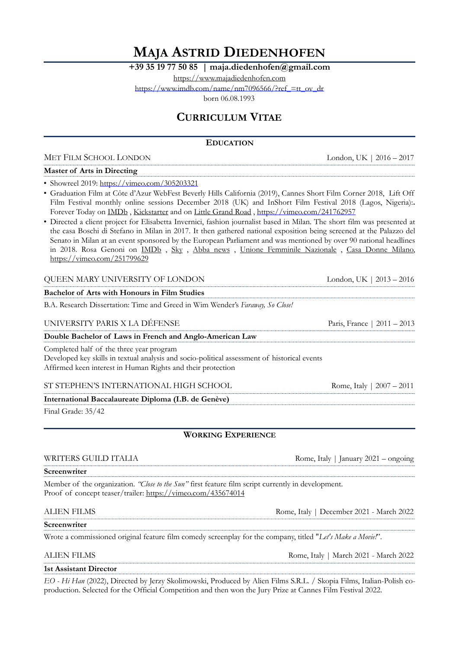# **MAJA ASTRID DIEDENHOFEN**

**+39 35 19 77 50 85 | maja.diedenhofen@gmail.com** 

<https://www.majadiedenhofen.com>

[https://www.imdb.com/name/nm7096566/?ref\\_=tt\\_ov\\_dr](https://www.imdb.com/name/nm7096566/?ref_=tt_ov_dr)

born 06.08.1993

## **CURRICULUM VITAE**

### **EDUCATION**

MET FILM SCHOOL LONDON London, UK | 2016 – 2017

### **Master of Arts in Directing**

• Showreel 2019:<https://vimeo.com/305203321>

• Graduation Film at Côte d'Azur WebFest Beverly Hills California (2019), Cannes Short Film Corner 2018, Lift Off Film Festival monthly online sessions December 2018 (UK) and InShort Film Festival 2018 (Lagos, Nigeria):**.**  Forever Today on [IMDb](https://www.imdb.com/title/tt7970084/?ref_=nm_knf_t2), [Kickstarter](https://www.kickstarter.com/projects/1991290039/forever-today) and on Little Grand Road, <https://vimeo.com/241762957>

• Directed a client project for Elisabetta Invernici, fashion journalist based in Milan. The short film was presented at the casa Boschi di Stefano in Milan in 2017. It then gathered national exposition being screened at the Palazzo del Senato in Milan at an event sponsored by the European Parliament and was mentioned by over 90 national headlines in 2018. Rosa Genoni on [IMDb](https://www.imdb.com/title/tt11681156/) , [Sky](https://arte.sky.it/2018/01/rosa-genoni-una-donna-alla-conquista-del-900/) , [Abba news](http://www.abbanews.eu/gusti-e-cultura/rosa-genoni/) , [Unione Femminile Nazionale](https://unionefemminile.it/rosa-genoni-mostra-milano-2018/) , [Casa Donne Milano,](http://www.casadonnemilano.it/wp-content/uploads/2017/12/ComunicatoRosa-Genoni.pdf) <https://vimeo.com/251799629>

## QUEEN MARY UNIVERSITY OF LONDON London, UK | 2013 – 2016 **Bachelor of Arts with Honours in Film Studies** B.A. Research Dissertation: Time and Greed in Wim Wender's *Faraway, So Close!* UNIVERSITY PARIS X LA DÉFENSE Paris, France | 2011 – 2013 **Double Bachelor of Laws in French and Anglo-American Law** Completed half of the three year program Developed key skills in textual analysis and socio-political assessment of historical events Affirmed keen interest in Human Rights and their protection ST STEPHEN'S INTERNATIONAL HIGH SCHOOL Rome, Italy | 2007 - 2011 **International Baccalaureate Diploma (I.B. de Genève)**  Final Grade: 35/42 **WORKING EXPERIENCE** WRITERS GUILD ITALIA **Rome, Italy | January 2021** – ongoing **Screenwriter** Member of the organization. *"Close to the Sun"* first feature film script currently in development. Proof of concept teaser/trailer:<https://vimeo.com/435674014> ALIEN FILMS Rome, Italy | December 2021 - March 2022 **Screenwriter**

Wrote a commissioned original feature film comedy screenplay for the company, titled "*Let's Make a Movie!*".

ALIEN FILMS Rome, Italy | March 2021 - March 2022

**1st Assistant Director**

*EO - Hi Han* (2022), Directed by Jerzy Skolimowski, Produced by Alien Films S.R.L. / Skopia Films, Italian-Polish coproduction. Selected for the Official Competition and then won the Jury Prize at Cannes Film Festival 2022.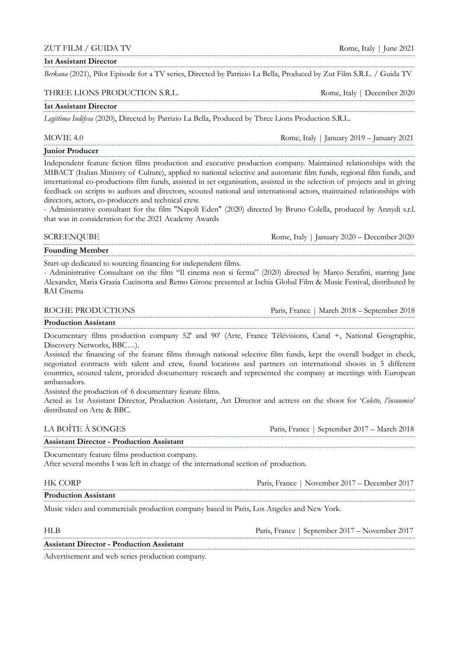### ZUT FILM / GUIDA TV Rome, Italy | June 2021

### **1st Assistant Director**

*Berkana* (2021), Pilot Episode for a TV series, Directed by Patrizio La Bella, Produced by Zut Film S.R.L. / Guida TV

### THREE LIONS PRODUCTION S.R.L. Rome, Italy | December 2020

### **1st Assistant Director**

*Legittima Indifesa* (2020), Directed by Patrizio La Bella, Produced by Three Lions Production S.R.L.

MOVIE 4.0 Rome, Italy | January 2019 – January 2021

### **Junior Producer**

Independent feature fiction films production and executive production company. Maintained relationships with the MIBACT (Italian Ministry of Culture), applied to national selective and automatic film funds, regional film funds, and international co-productions film funds, assisted in set organisation, assisted in the selection of projects and in giving feedback on scripts to authors and directors, scouted national and international actors, maintained relationships with directors, actors, co-producers and technical crew.

- Administrative consultant for the film "Napoli Eden" (2020) directed by Bruno Colella, produced by Annydi s.r.l. that was in consideration for the 2021 Academy Awards

SCREENQUBE Rome, Italy | January 2020 – December 2020

**Founding Member**

Start-up dedicated to sourcing financing for independent films.

- Administrative Consultant on the film "Il cinema non si ferma" (2020) directed by Marco Serafini, starring Jane Alexander, Maria Grazia Cucinotta and Remo Girone presented at Ischia Global Film & Music Festival, distributed by RAI Cinema

ROCHE PRODUCTIONS Paris, France | March 2018 – September 2018

### **Production Assistant**

Documentary films production company 52' and 90' (Arte, France Télévisions, Canal +, National Geographic, Discovery Networks, BBC…).

Assisted the financing of the feature films through national selective film funds, kept the overall budget in check, negotiated contracts with talent and crew, found locations and partners on international shoots in 5 different countries, scouted talent, provided documentary research and represented the company at meetings with European ambassadors.

Assisted the production of 6 documentary feature films.

Acted as 1st Assistant Director, Production Assistant, Art Director and actress on the shoot for '*Colette, l'insoumise*' distributed on Arte & BBC.

| LA BOITE A SONGES                                | Paris, France   September 2017 – March 2018 |
|--------------------------------------------------|---------------------------------------------|
| <b>Assistant Director - Production Assistant</b> |                                             |

Documentary feature films production company.

After several months I was left in charge of the international section of production.

| HK CORP                                                                                  | Paris, France   November 2017 – December 2017 |
|------------------------------------------------------------------------------------------|-----------------------------------------------|
| <b>Production Assistant</b>                                                              |                                               |
| Music video and commercials production company based in Paris, Los Angeles and New York. |                                               |

| $_{\rm HLR}$                                     | Paris, France   September 2017 – November 2017 |  |
|--------------------------------------------------|------------------------------------------------|--|
| <b>Assistant Director - Production Assistant</b> |                                                |  |

Advertisement and web series production company.